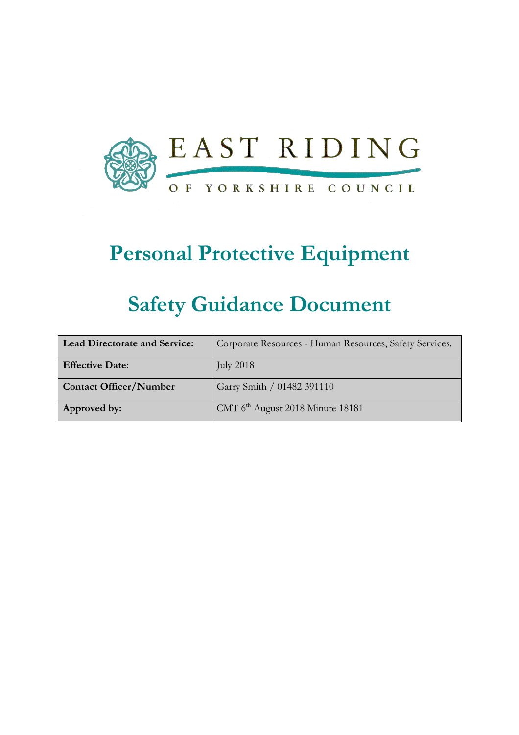

# Personal Protective Equipment

# Safety Guidance Document

| <b>Lead Directorate and Service:</b> | Corporate Resources - Human Resources, Safety Services. |  |
|--------------------------------------|---------------------------------------------------------|--|
| <b>Effective Date:</b>               | July $2018$                                             |  |
| <b>Contact Officer/Number</b>        | Garry Smith / 01482 391110                              |  |
| Approved by:                         | CMT 6 <sup>th</sup> August 2018 Minute 18181            |  |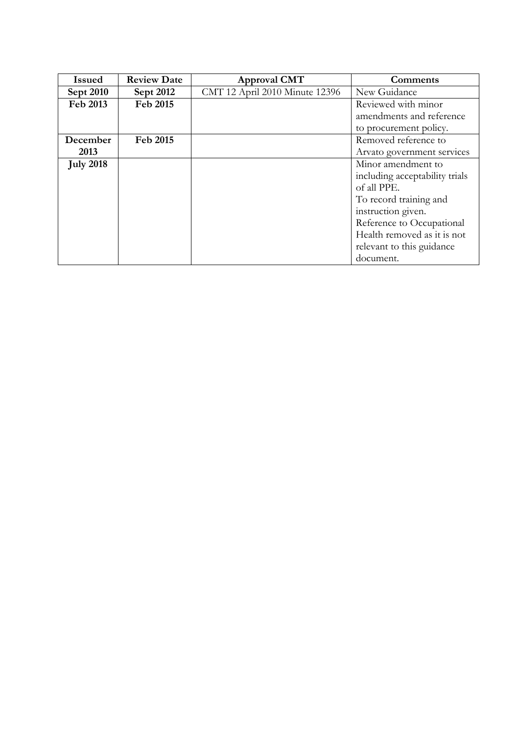| <b>Issued</b>    | <b>Review Date</b> | <b>Approval CMT</b>            | <b>Comments</b>                |  |
|------------------|--------------------|--------------------------------|--------------------------------|--|
| <b>Sept 2010</b> | <b>Sept 2012</b>   | CMT 12 April 2010 Minute 12396 | New Guidance                   |  |
| Feb 2013         | Feb 2015           |                                | Reviewed with minor            |  |
|                  |                    |                                | amendments and reference       |  |
|                  |                    |                                | to procurement policy.         |  |
| December         | Feb 2015           |                                | Removed reference to           |  |
| 2013             |                    |                                | Arvato government services     |  |
| <b>July 2018</b> |                    |                                | Minor amendment to             |  |
|                  |                    |                                | including acceptability trials |  |
|                  |                    |                                | of all PPE.                    |  |
|                  |                    |                                | To record training and         |  |
|                  |                    |                                | instruction given.             |  |
|                  |                    |                                | Reference to Occupational      |  |
|                  |                    |                                | Health removed as it is not    |  |
|                  |                    |                                | relevant to this guidance      |  |
|                  |                    |                                | document.                      |  |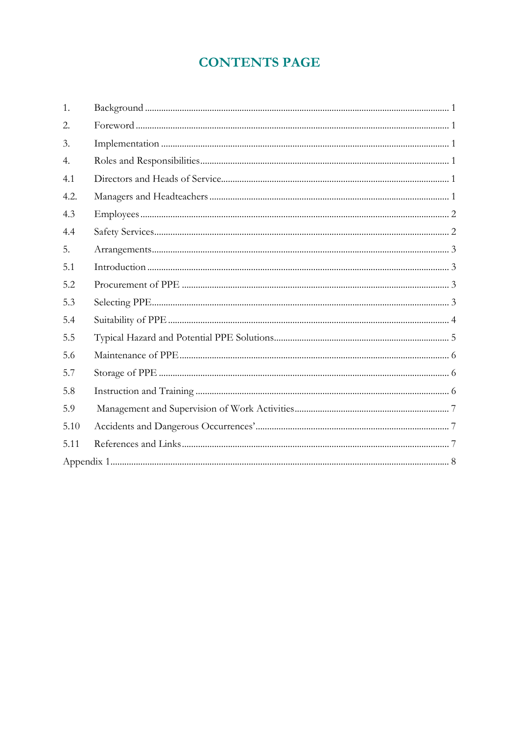## **CONTENTS PAGE**

| 1.   |  |
|------|--|
| 2.   |  |
| 3.   |  |
| 4.   |  |
| 4.1  |  |
| 4.2. |  |
| 4.3  |  |
| 4.4  |  |
| 5.   |  |
| 5.1  |  |
| 5.2  |  |
| 5.3  |  |
| 5.4  |  |
| 5.5  |  |
| 5.6  |  |
| 5.7  |  |
| 5.8  |  |
| 5.9  |  |
| 5.10 |  |
| 5.11 |  |
|      |  |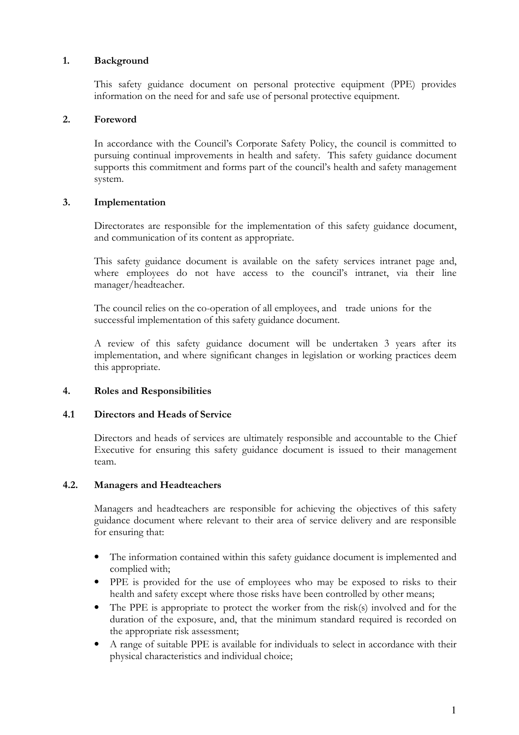#### 1. Background

This safety guidance document on personal protective equipment (PPE) provides information on the need for and safe use of personal protective equipment.

#### 2. Foreword

In accordance with the Council's Corporate Safety Policy, the council is committed to pursuing continual improvements in health and safety. This safety guidance document supports this commitment and forms part of the council's health and safety management system.

#### 3. Implementation

Directorates are responsible for the implementation of this safety guidance document, and communication of its content as appropriate.

This safety guidance document is available on the safety services intranet page and, where employees do not have access to the council's intranet, via their line manager/headteacher.

The council relies on the co-operation of all employees, and trade unions for the successful implementation of this safety guidance document.

A review of this safety guidance document will be undertaken 3 years after its implementation, and where significant changes in legislation or working practices deem this appropriate.

#### 4. Roles and Responsibilities

#### 4.1 Directors and Heads of Service

Directors and heads of services are ultimately responsible and accountable to the Chief Executive for ensuring this safety guidance document is issued to their management team.

#### 4.2. Managers and Headteachers

Managers and headteachers are responsible for achieving the objectives of this safety guidance document where relevant to their area of service delivery and are responsible for ensuring that:

- The information contained within this safety guidance document is implemented and complied with;
- PPE is provided for the use of employees who may be exposed to risks to their health and safety except where those risks have been controlled by other means;
- The PPE is appropriate to protect the worker from the risk(s) involved and for the duration of the exposure, and, that the minimum standard required is recorded on the appropriate risk assessment;
- A range of suitable PPE is available for individuals to select in accordance with their physical characteristics and individual choice;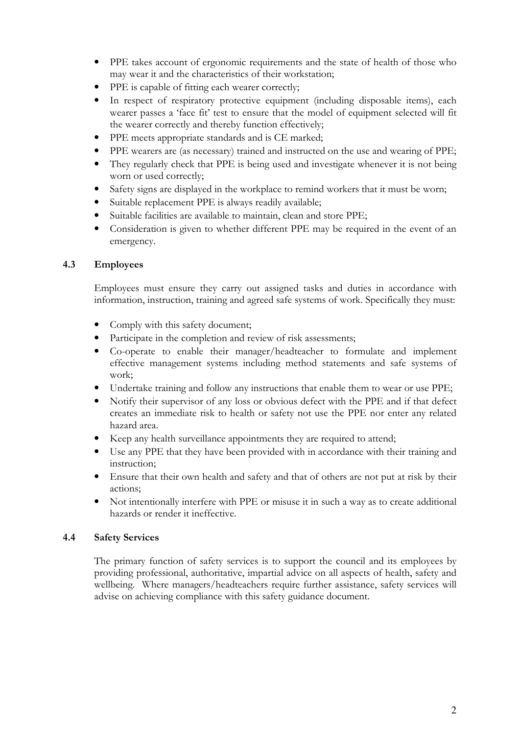- PPE takes account of ergonomic requirements and the state of health of those who may wear it and the characteristics of their workstation;
- PPE is capable of fitting each wearer correctly;
- In respect of respiratory protective equipment (including disposable items), each wearer passes a 'face fit' test to ensure that the model of equipment selected will fit the wearer correctly and thereby function effectively;
- PPE meets appropriate standards and is CE marked;
- PPE wearers are (as necessary) trained and instructed on the use and wearing of PPE;
- They regularly check that PPE is being used and investigate whenever it is not being worn or used correctly;
- Safety signs are displayed in the workplace to remind workers that it must be worn;
- Suitable replacement PPE is always readily available;
- Suitable facilities are available to maintain, clean and store PPE;
- Consideration is given to whether different PPE may be required in the event of an emergency.

#### 4.3 Employees

Employees must ensure they carry out assigned tasks and duties in accordance with information, instruction, training and agreed safe systems of work. Specifically they must:

- Comply with this safety document;
- Participate in the completion and review of risk assessments;
- Co-operate to enable their manager/headteacher to formulate and implement effective management systems including method statements and safe systems of work;
- Undertake training and follow any instructions that enable them to wear or use PPE;
- Notify their supervisor of any loss or obvious defect with the PPE and if that defect creates an immediate risk to health or safety not use the PPE nor enter any related hazard area.
- Keep any health surveillance appointments they are required to attend;
- Use any PPE that they have been provided with in accordance with their training and instruction;
- Ensure that their own health and safety and that of others are not put at risk by their actions;
- Not intentionally interfere with PPE or misuse it in such a way as to create additional hazards or render it ineffective.

#### 4.4 Safety Services

 The primary function of safety services is to support the council and its employees by providing professional, authoritative, impartial advice on all aspects of health, safety and wellbeing. Where managers/headteachers require further assistance, safety services will advise on achieving compliance with this safety guidance document.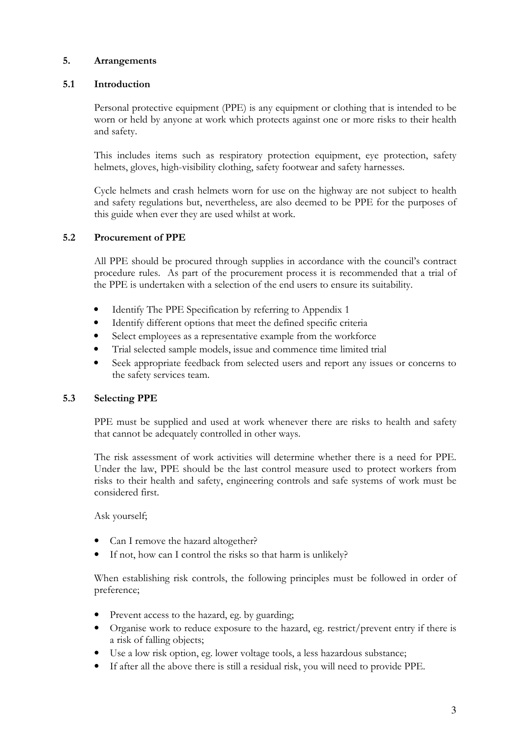#### 5. Arrangements

#### 5.1 Introduction

Personal protective equipment (PPE) is any equipment or clothing that is intended to be worn or held by anyone at work which protects against one or more risks to their health and safety.

This includes items such as respiratory protection equipment, eye protection, safety helmets, gloves, high-visibility clothing, safety footwear and safety harnesses.

Cycle helmets and crash helmets worn for use on the highway are not subject to health and safety regulations but, nevertheless, are also deemed to be PPE for the purposes of this guide when ever they are used whilst at work.

#### 5.2 Procurement of PPE

 All PPE should be procured through supplies in accordance with the council's contract procedure rules. As part of the procurement process it is recommended that a trial of the PPE is undertaken with a selection of the end users to ensure its suitability.

- Identify The PPE Specification by referring to Appendix 1
- Identify different options that meet the defined specific criteria
- Select employees as a representative example from the workforce
- Trial selected sample models, issue and commence time limited trial
- Seek appropriate feedback from selected users and report any issues or concerns to the safety services team.

#### 5.3 Selecting PPE

PPE must be supplied and used at work whenever there are risks to health and safety that cannot be adequately controlled in other ways.

The risk assessment of work activities will determine whether there is a need for PPE. Under the law, PPE should be the last control measure used to protect workers from risks to their health and safety, engineering controls and safe systems of work must be considered first.

Ask yourself;

- Can I remove the hazard altogether?
- If not, how can I control the risks so that harm is unlikely?

When establishing risk controls, the following principles must be followed in order of preference;

- Prevent access to the hazard, eg. by guarding;
- Organise work to reduce exposure to the hazard, eg. restrict/prevent entry if there is a risk of falling objects;
- Use a low risk option, eg. lower voltage tools, a less hazardous substance;
- If after all the above there is still a residual risk, you will need to provide PPE.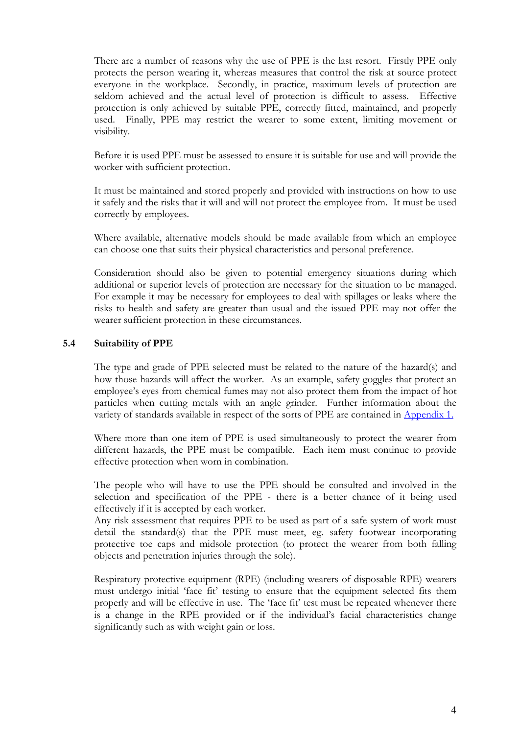There are a number of reasons why the use of PPE is the last resort. Firstly PPE only protects the person wearing it, whereas measures that control the risk at source protect everyone in the workplace. Secondly, in practice, maximum levels of protection are seldom achieved and the actual level of protection is difficult to assess. Effective protection is only achieved by suitable PPE, correctly fitted, maintained, and properly used. Finally, PPE may restrict the wearer to some extent, limiting movement or visibility.

Before it is used PPE must be assessed to ensure it is suitable for use and will provide the worker with sufficient protection.

It must be maintained and stored properly and provided with instructions on how to use it safely and the risks that it will and will not protect the employee from. It must be used correctly by employees.

Where available, alternative models should be made available from which an employee can choose one that suits their physical characteristics and personal preference.

Consideration should also be given to potential emergency situations during which additional or superior levels of protection are necessary for the situation to be managed. For example it may be necessary for employees to deal with spillages or leaks where the risks to health and safety are greater than usual and the issued PPE may not offer the wearer sufficient protection in these circumstances.

#### 5.4 Suitability of PPE

The type and grade of PPE selected must be related to the nature of the hazard(s) and how those hazards will affect the worker. As an example, safety goggles that protect an employee's eyes from chemical fumes may not also protect them from the impact of hot particles when cutting metals with an angle grinder. Further information about the variety of standards available in respect of the sorts of PPE are contained in **Appendix 1.** 

Where more than one item of PPE is used simultaneously to protect the wearer from different hazards, the PPE must be compatible. Each item must continue to provide effective protection when worn in combination.

The people who will have to use the PPE should be consulted and involved in the selection and specification of the PPE - there is a better chance of it being used effectively if it is accepted by each worker.

Any risk assessment that requires PPE to be used as part of a safe system of work must detail the standard(s) that the PPE must meet, eg. safety footwear incorporating protective toe caps and midsole protection (to protect the wearer from both falling objects and penetration injuries through the sole).

Respiratory protective equipment (RPE) (including wearers of disposable RPE) wearers must undergo initial 'face fit' testing to ensure that the equipment selected fits them properly and will be effective in use. The 'face fit' test must be repeated whenever there is a change in the RPE provided or if the individual's facial characteristics change significantly such as with weight gain or loss.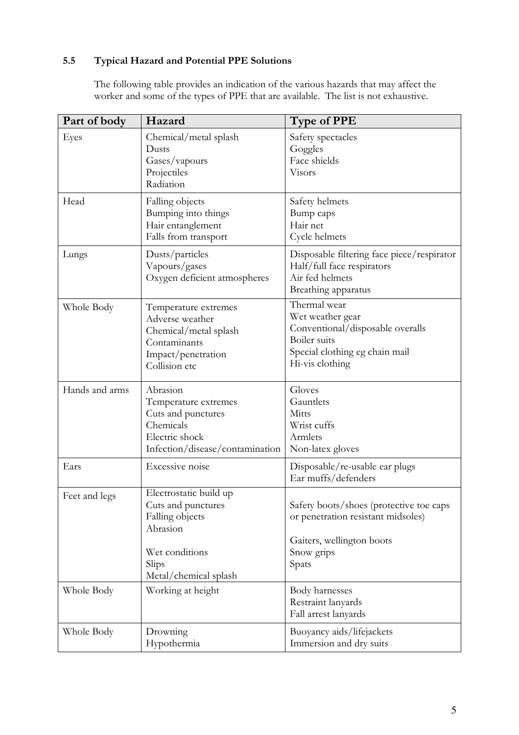### 5.5 Typical Hazard and Potential PPE Solutions

 The following table provides an indication of the various hazards that may affect the worker and some of the types of PPE that are available. The list is not exhaustive.

| Part of body   | Hazard                                                                                                                          | <b>Type of PPE</b>                                                                                                                        |
|----------------|---------------------------------------------------------------------------------------------------------------------------------|-------------------------------------------------------------------------------------------------------------------------------------------|
| Eyes           | Chemical/metal splash<br>Dusts<br>Gases/vapours<br>Projectiles<br>Radiation                                                     | Safety spectacles<br>Goggles<br>Face shields<br>Visors                                                                                    |
| Head           | Falling objects<br>Bumping into things<br>Hair entanglement<br>Falls from transport                                             | Safety helmets<br>Bump caps<br>Hair net<br>Cycle helmets                                                                                  |
| Lungs          | Dusts/particles<br>Vapours/gases<br>Oxygen deficient atmospheres                                                                | Disposable filtering face piece/respirator<br>Half/full face respirators<br>Air fed helmets<br>Breathing apparatus                        |
| Whole Body     | Temperature extremes<br>Adverse weather<br>Chemical/metal splash<br>Contaminants<br>Impact/penetration<br>Collision etc         | Thermal wear<br>Wet weather gear<br>Conventional/disposable overalls<br>Boiler suits<br>Special clothing eg chain mail<br>Hi-vis clothing |
| Hands and arms | Abrasion<br>Temperature extremes<br>Cuts and punctures<br>Chemicals<br>Electric shock<br>Infection/disease/contamination        | Gloves<br>Gauntlets<br>Mitts<br>Wrist cuffs<br>Armlets<br>Non-latex gloves                                                                |
| Ears           | Excessive noise                                                                                                                 | Disposable/re-usable ear plugs<br>Ear muffs/defenders                                                                                     |
| Feet and legs  | Electrostatic build up<br>Cuts and punctures<br>Falling objects<br>Abrasion<br>Wet conditions<br>Slips<br>Metal/chemical splash | Safety boots/shoes (protective toe caps<br>or penetration resistant midsoles)<br>Gaiters, wellington boots<br>Snow grips<br>Spats         |
| Whole Body     | Working at height                                                                                                               | Body harnesses<br>Restraint lanyards<br>Fall arrest lanyards                                                                              |
| Whole Body     | Drowning<br>Hypothermia                                                                                                         | Buoyancy aids/lifejackets<br>Immersion and dry suits                                                                                      |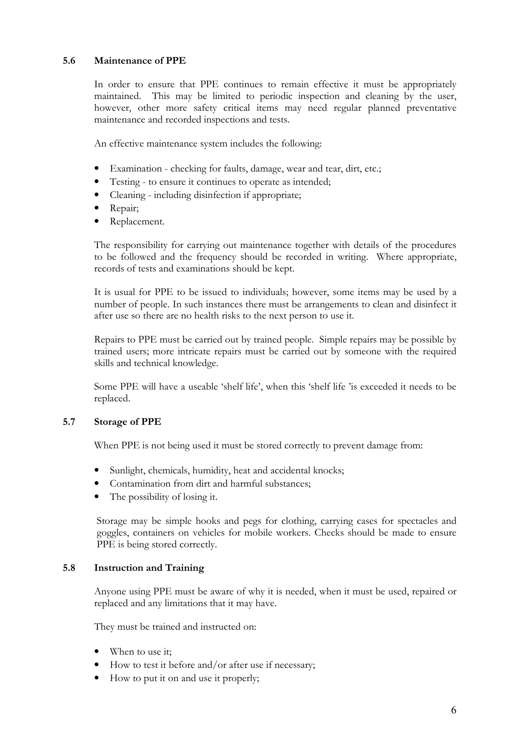#### 5.6 Maintenance of PPE

In order to ensure that PPE continues to remain effective it must be appropriately maintained. This may be limited to periodic inspection and cleaning by the user, however, other more safety critical items may need regular planned preventative maintenance and recorded inspections and tests.

An effective maintenance system includes the following:

- Examination checking for faults, damage, wear and tear, dirt, etc.;
- Testing to ensure it continues to operate as intended:
- Cleaning including disinfection if appropriate;
- Repair;
- Replacement.

The responsibility for carrying out maintenance together with details of the procedures to be followed and the frequency should be recorded in writing. Where appropriate, records of tests and examinations should be kept.

It is usual for PPE to be issued to individuals; however, some items may be used by a number of people. In such instances there must be arrangements to clean and disinfect it after use so there are no health risks to the next person to use it.

Repairs to PPE must be carried out by trained people. Simple repairs may be possible by trained users; more intricate repairs must be carried out by someone with the required skills and technical knowledge.

Some PPE will have a useable 'shelf life', when this 'shelf life 'is exceeded it needs to be replaced.

#### 5.7 Storage of PPE

When PPE is not being used it must be stored correctly to prevent damage from:

- Sunlight, chemicals, humidity, heat and accidental knocks;
- Contamination from dirt and harmful substances;
- The possibility of losing it.

Storage may be simple hooks and pegs for clothing, carrying cases for spectacles and goggles, containers on vehicles for mobile workers. Checks should be made to ensure PPE is being stored correctly.

#### 5.8 Instruction and Training

Anyone using PPE must be aware of why it is needed, when it must be used, repaired or replaced and any limitations that it may have.

They must be trained and instructed on:

- When to use it;
- How to test it before and/or after use if necessary;
- How to put it on and use it properly;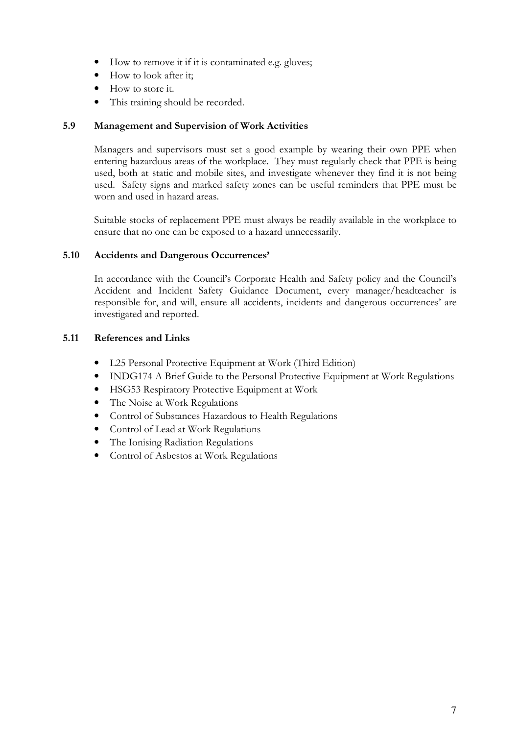- How to remove it if it is contaminated e.g. gloves;
- How to look after it:
- How to store it.
- This training should be recorded.

#### 5.9 Management and Supervision of Work Activities

 Managers and supervisors must set a good example by wearing their own PPE when entering hazardous areas of the workplace. They must regularly check that PPE is being used, both at static and mobile sites, and investigate whenever they find it is not being used. Safety signs and marked safety zones can be useful reminders that PPE must be worn and used in hazard areas.

 Suitable stocks of replacement PPE must always be readily available in the workplace to ensure that no one can be exposed to a hazard unnecessarily.

#### 5.10 Accidents and Dangerous Occurrences'

In accordance with the Council's Corporate Health and Safety policy and the Council's Accident and Incident Safety Guidance Document, every manager/headteacher is responsible for, and will, ensure all accidents, incidents and dangerous occurrences' are investigated and reported.

#### 5.11 References and Links

- L25 Personal Protective Equipment at Work (Third Edition)
- INDG174 A Brief Guide to the Personal Protective Equipment at Work Regulations
- HSG53 Respiratory Protective Equipment at Work
- The Noise at Work Regulations
- Control of Substances Hazardous to Health Regulations
- Control of Lead at Work Regulations
- The Ionising Radiation Regulations
- Control of Asbestos at Work Regulations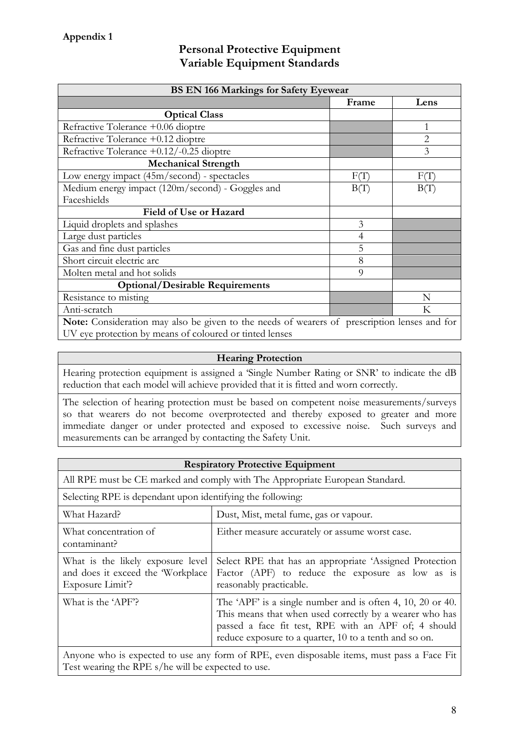### Personal Protective Equipment Variable Equipment Standards

| <b>BS EN 166 Markings for Safety Eyewear</b>                                                 |                |                |
|----------------------------------------------------------------------------------------------|----------------|----------------|
|                                                                                              | Frame          | Lens           |
| <b>Optical Class</b>                                                                         |                |                |
| Refractive Tolerance +0.06 dioptre                                                           |                | 1              |
| Refractive Tolerance +0.12 dioptre                                                           |                | $\overline{2}$ |
| Refractive Tolerance +0.12/-0.25 dioptre                                                     |                | 3              |
| <b>Mechanical Strength</b>                                                                   |                |                |
| Low energy impact (45m/second) - spectacles                                                  | F(T)           | F(T)           |
| Medium energy impact (120m/second) - Goggles and                                             | B(T)           | B(T)           |
| Faceshields                                                                                  |                |                |
| Field of Use or Hazard                                                                       |                |                |
| Liquid droplets and splashes                                                                 | 3              |                |
| Large dust particles                                                                         | $\overline{4}$ |                |
| Gas and fine dust particles                                                                  | 5              |                |
| Short circuit electric arc                                                                   | 8              |                |
| Molten metal and hot solids                                                                  | 9              |                |
| <b>Optional/Desirable Requirements</b>                                                       |                |                |
| Resistance to misting                                                                        |                | N              |
| Anti-scratch                                                                                 |                | Κ              |
| Note: Consideration may also be given to the needs of wearers of prescription lenses and for |                |                |
| UV eye protection by means of coloured or tinted lenses                                      |                |                |

#### Hearing Protection

Hearing protection equipment is assigned a 'Single Number Rating or SNR' to indicate the dB reduction that each model will achieve provided that it is fitted and worn correctly.

The selection of hearing protection must be based on competent noise measurements/surveys so that wearers do not become overprotected and thereby exposed to greater and more immediate danger or under protected and exposed to excessive noise. Such surveys and measurements can be arranged by contacting the Safety Unit.

| <b>Respiratory Protective Equipment</b>                                                    |                                                                                                                                                                                                                                         |  |
|--------------------------------------------------------------------------------------------|-----------------------------------------------------------------------------------------------------------------------------------------------------------------------------------------------------------------------------------------|--|
| All RPE must be CE marked and comply with The Appropriate European Standard.               |                                                                                                                                                                                                                                         |  |
| Selecting RPE is dependant upon identifying the following:                                 |                                                                                                                                                                                                                                         |  |
| What Hazard?                                                                               | Dust, Mist, metal fume, gas or vapour.                                                                                                                                                                                                  |  |
| What concentration of<br>contaminant?                                                      | Either measure accurately or assume worst case.                                                                                                                                                                                         |  |
| What is the likely exposure level<br>and does it exceed the 'Workplace'<br>Exposure Limit? | Select RPE that has an appropriate 'Assigned Protection<br>Factor (APF) to reduce the exposure as low as is<br>reasonably practicable.                                                                                                  |  |
| What is the 'APF'?                                                                         | The 'APF' is a single number and is often 4, 10, 20 or 40.<br>This means that when used correctly by a wearer who has<br>passed a face fit test, RPE with an APF of; 4 should<br>reduce exposure to a quarter, 10 to a tenth and so on. |  |
| Anyone who is expected to use any form of RPE even disposable items must pass a Face Fit   |                                                                                                                                                                                                                                         |  |

Anyone who is expected to use any form of RPE, even disposable items, must pass a Face Fit Test wearing the RPE s/he will be expected to use.